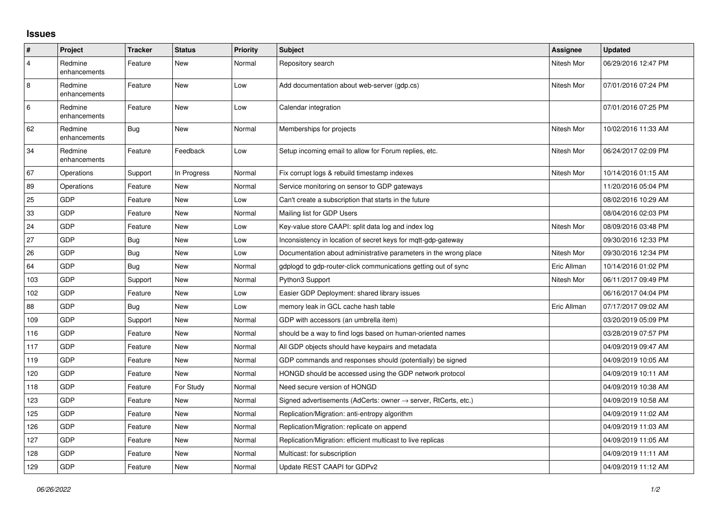## **Issues**

| #              | Project                 | <b>Tracker</b> | <b>Status</b> | <b>Priority</b> | <b>Subject</b>                                                   | <b>Assignee</b> | <b>Updated</b>      |
|----------------|-------------------------|----------------|---------------|-----------------|------------------------------------------------------------------|-----------------|---------------------|
| $\overline{4}$ | Redmine<br>enhancements | Feature        | <b>New</b>    | Normal          | Repository search                                                | Nitesh Mor      | 06/29/2016 12:47 PM |
| 8              | Redmine<br>enhancements | Feature        | <b>New</b>    | Low             | Add documentation about web-server (gdp.cs)                      | Nitesh Mor      | 07/01/2016 07:24 PM |
| 6              | Redmine<br>enhancements | Feature        | <b>New</b>    | Low             | Calendar integration                                             |                 | 07/01/2016 07:25 PM |
| 62             | Redmine<br>enhancements | Bug            | <b>New</b>    | Normal          | Memberships for projects                                         | Nitesh Mor      | 10/02/2016 11:33 AM |
| 34             | Redmine<br>enhancements | Feature        | Feedback      | Low             | Setup incoming email to allow for Forum replies, etc.            | Nitesh Mor      | 06/24/2017 02:09 PM |
| 67             | Operations              | Support        | In Progress   | Normal          | Fix corrupt logs & rebuild timestamp indexes                     | Nitesh Mor      | 10/14/2016 01:15 AM |
| 89             | Operations              | Feature        | New           | Normal          | Service monitoring on sensor to GDP gateways                     |                 | 11/20/2016 05:04 PM |
| 25             | <b>GDP</b>              | Feature        | New           | Low             | Can't create a subscription that starts in the future            |                 | 08/02/2016 10:29 AM |
| 33             | GDP                     | Feature        | <b>New</b>    | Normal          | Mailing list for GDP Users                                       |                 | 08/04/2016 02:03 PM |
| 24             | GDP                     | Feature        | <b>New</b>    | Low             | Key-value store CAAPI: split data log and index log              | Nitesh Mor      | 08/09/2016 03:48 PM |
| 27             | <b>GDP</b>              | Bug            | <b>New</b>    | Low             | Inconsistency in location of secret keys for mgtt-gdp-gateway    |                 | 09/30/2016 12:33 PM |
| 26             | GDP                     | Bug            | <b>New</b>    | Low             | Documentation about administrative parameters in the wrong place | Nitesh Mor      | 09/30/2016 12:34 PM |
| 64             | GDP                     | Bug            | <b>New</b>    | Normal          | gdplogd to gdp-router-click communications getting out of sync   | Eric Allman     | 10/14/2016 01:02 PM |
| 103            | <b>GDP</b>              | Support        | New           | Normal          | Python3 Support                                                  | Nitesh Mor      | 06/11/2017 09:49 PM |
| 102            | GDP                     | Feature        | <b>New</b>    | Low             | Easier GDP Deployment: shared library issues                     |                 | 06/16/2017 04:04 PM |
| 88             | GDP                     | Bug            | <b>New</b>    | Low             | memory leak in GCL cache hash table                              | Eric Allman     | 07/17/2017 09:02 AM |
| 109            | <b>GDP</b>              | Support        | <b>New</b>    | Normal          | GDP with accessors (an umbrella item)                            |                 | 03/20/2019 05:09 PM |
| 116            | GDP                     | Feature        | <b>New</b>    | Normal          | should be a way to find logs based on human-oriented names       |                 | 03/28/2019 07:57 PM |
| 117            | GDP                     | Feature        | <b>New</b>    | Normal          | All GDP objects should have keypairs and metadata                |                 | 04/09/2019 09:47 AM |
| 119            | <b>GDP</b>              | Feature        | <b>New</b>    | Normal          | GDP commands and responses should (potentially) be signed        |                 | 04/09/2019 10:05 AM |
| 120            | GDP                     | Feature        | <b>New</b>    | Normal          | HONGD should be accessed using the GDP network protocol          |                 | 04/09/2019 10:11 AM |
| 118            | GDP                     | Feature        | For Study     | Normal          | Need secure version of HONGD                                     |                 | 04/09/2019 10:38 AM |
| 123            | GDP                     | Feature        | <b>New</b>    | Normal          | Signed advertisements (AdCerts: owner → server, RtCerts, etc.)   |                 | 04/09/2019 10:58 AM |
| 125            | GDP                     | Feature        | <b>New</b>    | Normal          | Replication/Migration: anti-entropy algorithm                    |                 | 04/09/2019 11:02 AM |
| 126            | GDP                     | Feature        | New           | Normal          | Replication/Migration: replicate on append                       |                 | 04/09/2019 11:03 AM |
| 127            | GDP                     | Feature        | <b>New</b>    | Normal          | Replication/Migration: efficient multicast to live replicas      |                 | 04/09/2019 11:05 AM |
| 128            | GDP                     | Feature        | <b>New</b>    | Normal          | Multicast: for subscription                                      |                 | 04/09/2019 11:11 AM |
| 129            | GDP                     | Feature        | <b>New</b>    | Normal          | Update REST CAAPI for GDPv2                                      |                 | 04/09/2019 11:12 AM |